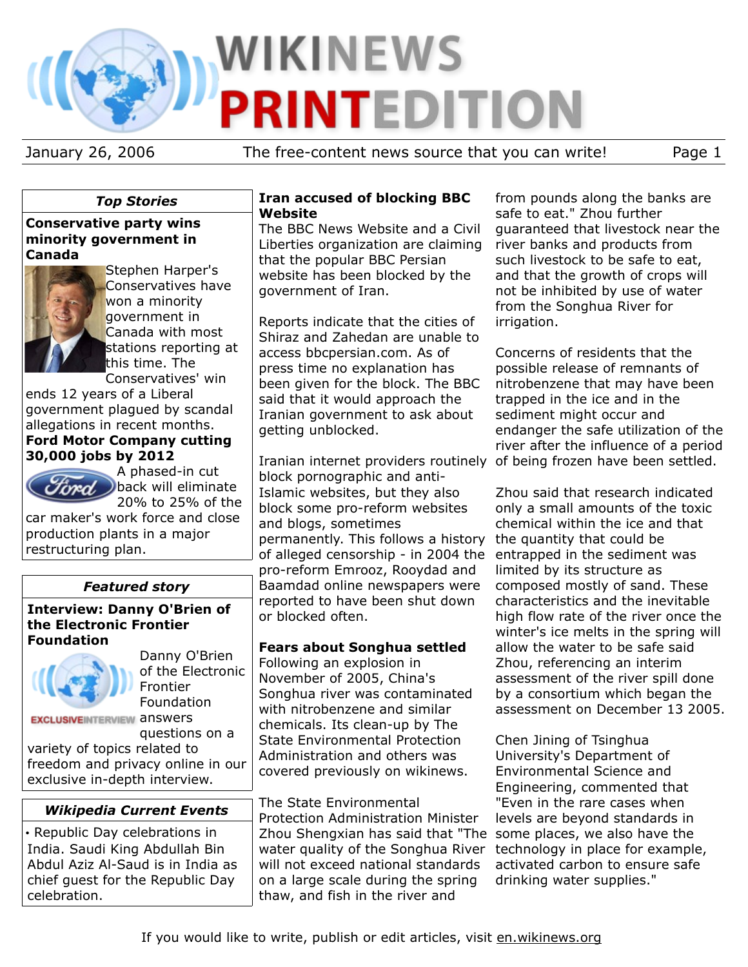# **WIKINEWS PRINTEDITION**

January 26, 2006 The free-content news source that you can write! Page 1

## *Top Stories*

## **Conservative party wins minority government in Canada**



Stephen Harper's Conservatives have won a minority government in Canada with most stations reporting at this time. The Conservatives' win

ends 12 years of a Liberal government plagued by scandal allegations in recent months.

# **Ford Motor Company cutting 30,000 jobs by 2012**

A phased-in cut back will eliminate 20% to 25% of the

car maker's work force and close production plants in a major restructuring plan.

# *Featured story*

#### **Interview: Danny O'Brien of the Electronic Frontier Foundation**



rad

Danny O'Brien of the Electronic Frontier Foundation

**EXCLUSIVEINTERVIEW ANSWETS** 

questions on a variety of topics related to freedom and privacy online in our exclusive in-depth interview.

# *Wikipedia Current Events*

• Republic Day celebrations in India. Saudi King Abdullah Bin Abdul Aziz Al-Saud is in India as chief guest for the Republic Day celebration.

#### **Iran accused of blocking BBC Website**

The BBC News Website and a Civil Liberties organization are claiming that the popular BBC Persian website has been blocked by the government of Iran.

Reports indicate that the cities of Shiraz and Zahedan are unable to access bbcpersian.com. As of press time no explanation has been given for the block. The BBC said that it would approach the Iranian government to ask about getting unblocked.

Iranian internet providers routinely of being frozen have been settled. block pornographic and anti-Islamic websites, but they also block some pro-reform websites and blogs, sometimes permanently. This follows a history the quantity that could be of alleged censorship - in 2004 the entrapped in the sediment was pro-reform Emrooz, Rooydad and Baamdad online newspapers were reported to have been shut down or blocked often.

# **Fears about Songhua settled**

Following an explosion in November of 2005, China's Songhua river was contaminated with nitrobenzene and similar chemicals. Its clean-up by The State Environmental Protection Administration and others was covered previously on wikinews.

The State Environmental Protection Administration Minister Zhou Shengxian has said that "The some places, we also have the water quality of the Songhua River will not exceed national standards on a large scale during the spring thaw, and fish in the river and

from pounds along the banks are safe to eat." Zhou further guaranteed that livestock near the river banks and products from such livestock to be safe to eat, and that the growth of crops will not be inhibited by use of water from the Songhua River for irrigation.

Concerns of residents that the possible release of remnants of nitrobenzene that may have been trapped in the ice and in the sediment might occur and endanger the safe utilization of the river after the influence of a period

Zhou said that research indicated only a small amounts of the toxic chemical within the ice and that limited by its structure as composed mostly of sand. These characteristics and the inevitable high flow rate of the river once the winter's ice melts in the spring will allow the water to be safe said Zhou, referencing an interim assessment of the river spill done by a consortium which began the assessment on December 13 2005.

Chen Jining of Tsinghua University's Department of Environmental Science and Engineering, commented that "Even in the rare cases when levels are beyond standards in technology in place for example, activated carbon to ensure safe drinking water supplies."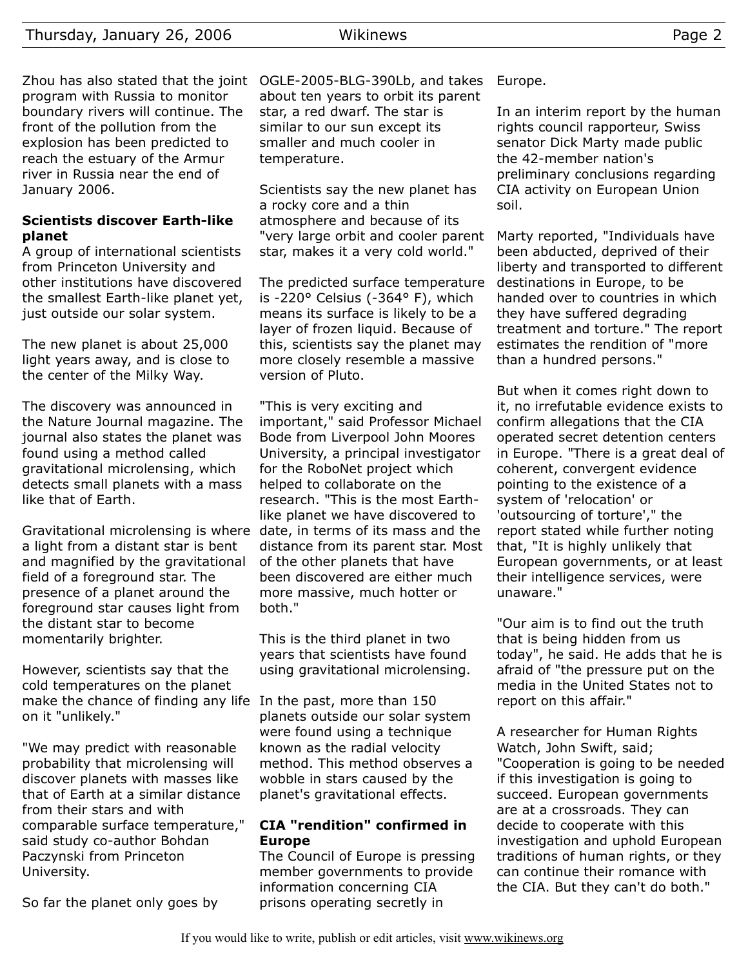program with Russia to monitor boundary rivers will continue. The front of the pollution from the explosion has been predicted to reach the estuary of the Armur river in Russia near the end of January 2006.

## **Scientists discover Earth-like planet**

A group of international scientists from Princeton University and other institutions have discovered the smallest Earth-like planet yet, just outside our solar system.

The new planet is about 25,000 light years away, and is close to the center of the Milky Way.

The discovery was announced in the Nature Journal magazine. The journal also states the planet was found using a method called gravitational microlensing, which detects small planets with a mass like that of Earth.

Gravitational microlensing is where date, in terms of its mass and the a light from a distant star is bent and magnified by the gravitational field of a foreground star. The presence of a planet around the foreground star causes light from the distant star to become momentarily brighter.

However, scientists say that the cold temperatures on the planet make the chance of finding any life In the past, more than 150 on it "unlikely."

"We may predict with reasonable probability that microlensing will discover planets with masses like that of Earth at a similar distance from their stars and with comparable surface temperature," said study co-author Bohdan Paczynski from Princeton University.

So far the planet only goes by

Zhou has also stated that the joint OGLE-2005-BLG-390Lb, and takes about ten years to orbit its parent star, a red dwarf. The star is similar to our sun except its smaller and much cooler in temperature.

> Scientists say the new planet has a rocky core and a thin atmosphere and because of its "very large orbit and cooler parent star, makes it a very cold world."

> The predicted surface temperature is -220° Celsius (-364° F), which means its surface is likely to be a layer of frozen liquid. Because of this, scientists say the planet may more closely resemble a massive version of Pluto.

> "This is very exciting and important," said Professor Michael Bode from Liverpool John Moores University, a principal investigator for the RoboNet project which helped to collaborate on the research. "This is the most Earthlike planet we have discovered to distance from its parent star. Most of the other planets that have been discovered are either much more massive, much hotter or both."

This is the third planet in two years that scientists have found using gravitational microlensing.

planets outside our solar system were found using a technique known as the radial velocity method. This method observes a wobble in stars caused by the planet's gravitational effects.

#### **CIA "rendition" confirmed in Europe**

The Council of Europe is pressing member governments to provide information concerning CIA prisons operating secretly in

Europe.

In an interim report by the human rights council rapporteur, Swiss senator Dick Marty made public the 42-member nation's preliminary conclusions regarding CIA activity on European Union soil.

Marty reported, "Individuals have been abducted, deprived of their liberty and transported to different destinations in Europe, to be handed over to countries in which they have suffered degrading treatment and torture." The report estimates the rendition of "more than a hundred persons."

But when it comes right down to it, no irrefutable evidence exists to confirm allegations that the CIA operated secret detention centers in Europe. "There is a great deal of coherent, convergent evidence pointing to the existence of a system of 'relocation' or 'outsourcing of torture'," the report stated while further noting that, "It is highly unlikely that European governments, or at least their intelligence services, were unaware."

"Our aim is to find out the truth that is being hidden from us today", he said. He adds that he is afraid of "the pressure put on the media in the United States not to report on this affair."

A researcher for Human Rights Watch, John Swift, said; "Cooperation is going to be needed if this investigation is going to succeed. European governments are at a crossroads. They can decide to cooperate with this investigation and uphold European traditions of human rights, or they can continue their romance with the CIA. But they can't do both."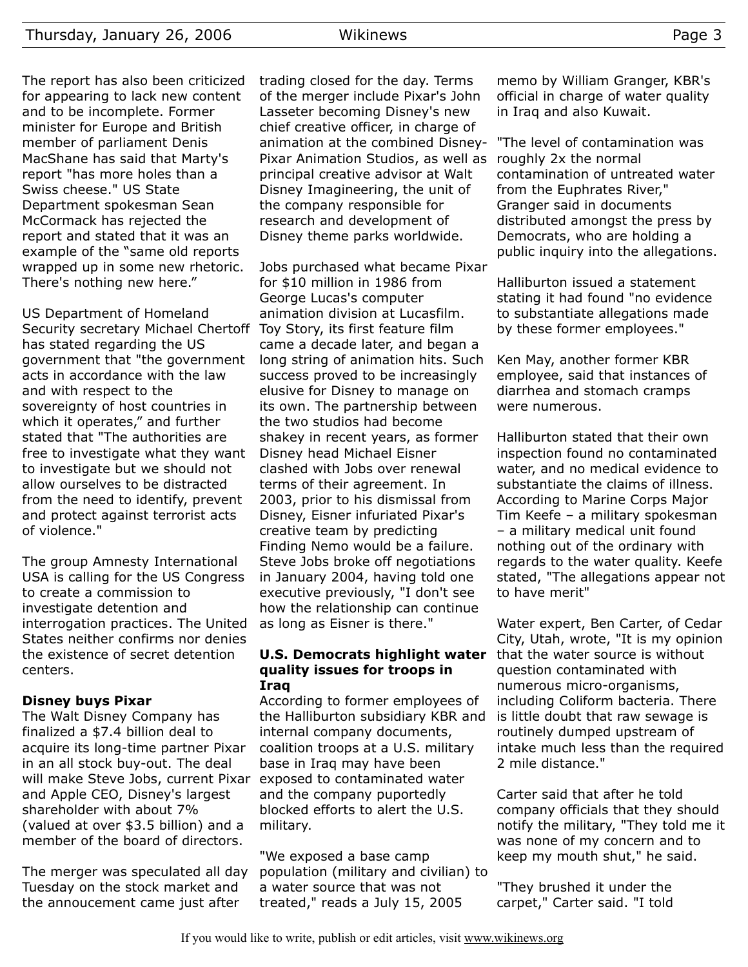The report has also been criticized for appearing to lack new content and to be incomplete. Former minister for Europe and British member of parliament Denis MacShane has said that Marty's report "has more holes than a Swiss cheese." US State Department spokesman Sean McCormack has rejected the report and stated that it was an example of the "same old reports wrapped up in some new rhetoric. There's nothing new here."

US Department of Homeland Security secretary Michael Chertoff Toy Story, its first feature film has stated regarding the US government that "the government acts in accordance with the law and with respect to the sovereignty of host countries in which it operates," and further stated that "The authorities are free to investigate what they want to investigate but we should not allow ourselves to be distracted from the need to identify, prevent and protect against terrorist acts of violence."

The group Amnesty International USA is calling for the US Congress to create a commission to investigate detention and interrogation practices. The United States neither confirms nor denies the existence of secret detention centers.

## **Disney buys Pixar**

The Walt Disney Company has finalized a \$7.4 billion deal to acquire its long-time partner Pixar in an all stock buy-out. The deal will make Steve Jobs, current Pixar exposed to contaminated water and Apple CEO, Disney's largest shareholder with about 7% (valued at over \$3.5 billion) and a member of the board of directors.

The merger was speculated all day Tuesday on the stock market and the annoucement came just after

trading closed for the day. Terms of the merger include Pixar's John Lasseter becoming Disney's new chief creative officer, in charge of animation at the combined Disney-Pixar Animation Studios, as well as principal creative advisor at Walt Disney Imagineering, the unit of the company responsible for research and development of Disney theme parks worldwide.

Jobs purchased what became Pixar for \$10 million in 1986 from George Lucas's computer animation division at Lucasfilm. came a decade later, and began a long string of animation hits. Such success proved to be increasingly elusive for Disney to manage on its own. The partnership between the two studios had become shakey in recent years, as former Disney head Michael Eisner clashed with Jobs over renewal terms of their agreement. In 2003, prior to his dismissal from Disney, Eisner infuriated Pixar's creative team by predicting Finding Nemo would be a failure. Steve Jobs broke off negotiations in January 2004, having told one executive previously, "I don't see how the relationship can continue as long as Eisner is there."

#### **U.S. Democrats highlight water quality issues for troops in Iraq**

According to former employees of the Halliburton subsidiary KBR and internal company documents, coalition troops at a U.S. military base in Iraq may have been and the company puportedly blocked efforts to alert the U.S. military.

"We exposed a base camp population (military and civilian) to a water source that was not treated," reads a July 15, 2005

memo by William Granger, KBR's official in charge of water quality in Iraq and also Kuwait.

"The level of contamination was roughly 2x the normal contamination of untreated water from the Euphrates River," Granger said in documents distributed amongst the press by Democrats, who are holding a public inquiry into the allegations.

Halliburton issued a statement stating it had found "no evidence to substantiate allegations made by these former employees."

Ken May, another former KBR employee, said that instances of diarrhea and stomach cramps were numerous.

Halliburton stated that their own inspection found no contaminated water, and no medical evidence to substantiate the claims of illness. According to Marine Corps Major Tim Keefe – a military spokesman – a military medical unit found nothing out of the ordinary with regards to the water quality. Keefe stated, "The allegations appear not to have merit"

Water expert, Ben Carter, of Cedar City, Utah, wrote, "It is my opinion that the water source is without question contaminated with numerous micro-organisms, including Coliform bacteria. There is little doubt that raw sewage is routinely dumped upstream of intake much less than the required 2 mile distance."

Carter said that after he told company officials that they should notify the military, "They told me it was none of my concern and to keep my mouth shut," he said.

"They brushed it under the carpet," Carter said. "I told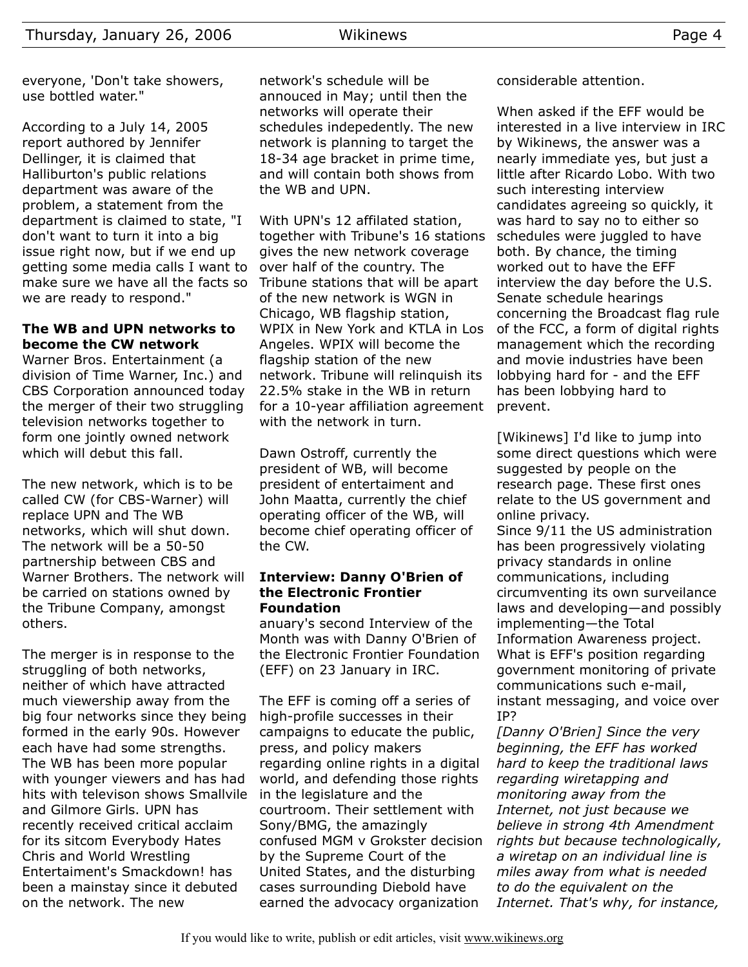everyone, 'Don't take showers, use bottled water."

According to a July 14, 2005 report authored by Jennifer Dellinger, it is claimed that Halliburton's public relations department was aware of the problem, a statement from the department is claimed to state, "I don't want to turn it into a big issue right now, but if we end up getting some media calls I want to make sure we have all the facts so we are ready to respond."

## **The WB and UPN networks to become the CW network**

Warner Bros. Entertainment (a division of Time Warner, Inc.) and CBS Corporation announced today the merger of their two struggling television networks together to form one jointly owned network which will debut this fall.

The new network, which is to be called CW (for CBS-Warner) will replace UPN and The WB networks, which will shut down. The network will be a 50-50 partnership between CBS and Warner Brothers. The network will be carried on stations owned by the Tribune Company, amongst others.

The merger is in response to the struggling of both networks, neither of which have attracted much viewership away from the big four networks since they being formed in the early 90s. However each have had some strengths. The WB has been more popular with younger viewers and has had hits with televison shows Smallvile and Gilmore Girls. UPN has recently received critical acclaim for its sitcom Everybody Hates Chris and World Wrestling Entertaiment's Smackdown! has been a mainstay since it debuted on the network. The new

network's schedule will be annouced in May; until then the networks will operate their schedules indepedently. The new network is planning to target the 18-34 age bracket in prime time, and will contain both shows from the WB and UPN.

With UPN's 12 affilated station, together with Tribune's 16 stations gives the new network coverage over half of the country. The Tribune stations that will be apart of the new network is WGN in Chicago, WB flagship station, WPIX in New York and KTLA in Los Angeles. WPIX will become the flagship station of the new network. Tribune will relinquish its 22.5% stake in the WB in return for a 10-year affiliation agreement with the network in turn.

Dawn Ostroff, currently the president of WB, will become president of entertaiment and John Maatta, currently the chief operating officer of the WB, will become chief operating officer of the CW.

#### **Interview: Danny O'Brien of the Electronic Frontier Foundation**

anuary's second Interview of the Month was with Danny O'Brien of the Electronic Frontier Foundation (EFF) on 23 January in IRC.

The EFF is coming off a series of high-profile successes in their campaigns to educate the public, press, and policy makers regarding online rights in a digital world, and defending those rights in the legislature and the courtroom. Their settlement with Sony/BMG, the amazingly confused MGM v Grokster decision by the Supreme Court of the United States, and the disturbing cases surrounding Diebold have earned the advocacy organization

considerable attention.

When asked if the EFF would be interested in a live interview in IRC by Wikinews, the answer was a nearly immediate yes, but just a little after Ricardo Lobo. With two such interesting interview candidates agreeing so quickly, it was hard to say no to either so schedules were juggled to have both. By chance, the timing worked out to have the EFF interview the day before the U.S. Senate schedule hearings concerning the Broadcast flag rule of the FCC, a form of digital rights management which the recording and movie industries have been lobbying hard for - and the EFF has been lobbying hard to prevent.

[Wikinews] I'd like to jump into some direct questions which were suggested by people on the research page. These first ones relate to the US government and online privacy.

Since 9/11 the US administration has been progressively violating privacy standards in online communications, including circumventing its own surveilance laws and developing—and possibly implementing—the Total Information Awareness project. What is EFF's position regarding government monitoring of private communications such e-mail, instant messaging, and voice over IP?

*[Danny O'Brien] Since the very beginning, the EFF has worked hard to keep the traditional laws regarding wiretapping and monitoring away from the Internet, not just because we believe in strong 4th Amendment rights but because technologically, a wiretap on an individual line is miles away from what is needed to do the equivalent on the Internet. That's why, for instance,*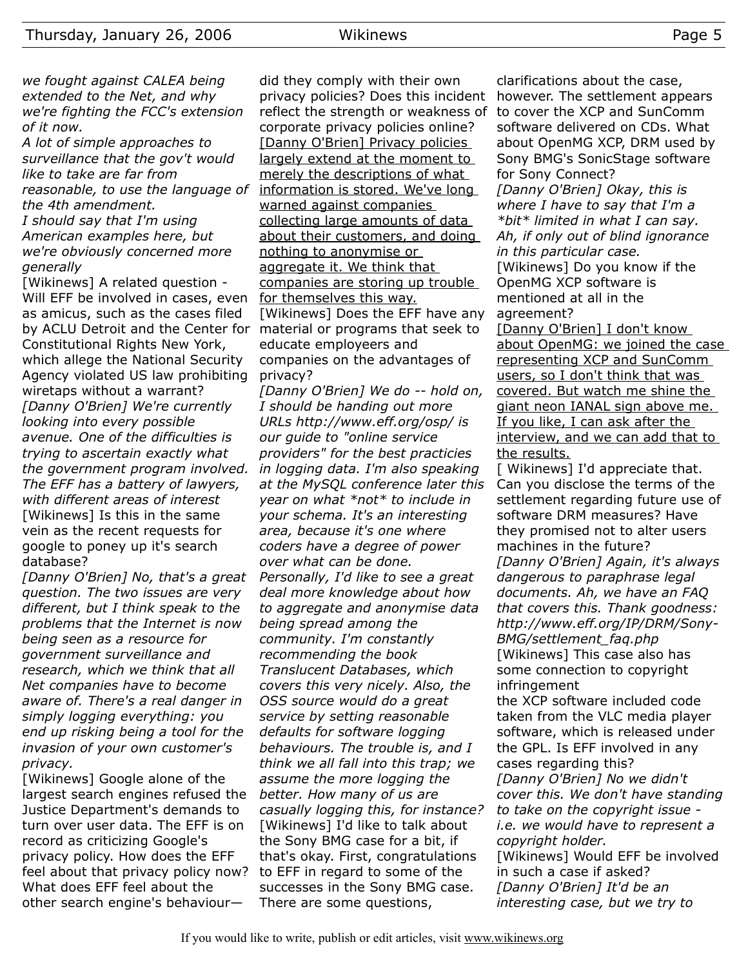*we fought against CALEA being extended to the Net, and why we're fighting the FCC's extension of it now.*

*A lot of simple approaches to surveillance that the gov't would like to take are far from reasonable, to use the language of the 4th amendment.*

*I should say that I'm using American examples here, but we're obviously concerned more generally*

[Wikinews] A related question - Will EFF be involved in cases, even as amicus, such as the cases filed by ACLU Detroit and the Center for material or programs that seek to Constitutional Rights New York, which allege the National Security Agency violated US law prohibiting wiretaps without a warrant? *[Danny O'Brien] We're currently looking into every possible avenue. One of the difficulties is trying to ascertain exactly what the government program involved. The EFF has a battery of lawyers, with different areas of interest* [Wikinews] Is this in the same vein as the recent requests for google to poney up it's search database?

*[Danny O'Brien] No, that's a great question. The two issues are very different, but I think speak to the problems that the Internet is now being seen as a resource for government surveillance and research, which we think that all Net companies have to become aware of. There's a real danger in simply logging everything: you end up risking being a tool for the invasion of your own customer's privacy.*

[Wikinews] Google alone of the largest search engines refused the Justice Department's demands to turn over user data. The EFF is on record as criticizing Google's privacy policy. How does the EFF feel about that privacy policy now? What does EFF feel about the other search engine's behaviour—

did they comply with their own privacy policies? Does this incident reflect the strength or weakness of corporate privacy policies online? [Danny O'Brien] Privacy policies largely extend at the moment to merely the descriptions of what information is stored. We've long warned against companies collecting large amounts of data about their customers, and doing nothing to anonymise or aggregate it. We think that companies are storing up trouble for themselves this way. [Wikinews] Does the EFF have any educate employeers and companies on the advantages of privacy?

*[Danny O'Brien] We do -- hold on, I should be handing out more URLs http://www.eff.org/osp/ is our guide to "online service providers" for the best practicies in logging data. I'm also speaking at the MySQL conference later this year on what \*not\* to include in your schema. It's an interesting area, because it's one where coders have a degree of power over what can be done. Personally, I'd like to see a great deal more knowledge about how to aggregate and anonymise data being spread among the community. I'm constantly recommending the book Translucent Databases, which covers this very nicely. Also, the OSS source would do a great service by setting reasonable defaults for software logging behaviours. The trouble is, and I think we all fall into this trap; we assume the more logging the better. How many of us are casually logging this, for instance?* [Wikinews] I'd like to talk about the Sony BMG case for a bit, if that's okay. First, congratulations to EFF in regard to some of the successes in the Sony BMG case. There are some questions,

clarifications about the case, however. The settlement appears to cover the XCP and SunComm software delivered on CDs. What about OpenMG XCP, DRM used by Sony BMG's SonicStage software for Sony Connect? *[Danny O'Brien] Okay, this is where I have to say that I'm a \*bit\* limited in what I can say. Ah, if only out of blind ignorance in this particular case.* [Wikinews] Do you know if the OpenMG XCP software is mentioned at all in the agreement? [Danny O'Brien] I don't know about OpenMG: we joined the case representing XCP and SunComm users, so I don't think that was

covered. But watch me shine the giant neon IANAL sign above me. If you like, I can ask after the interview, and we can add that to the results.

[ Wikinews] I'd appreciate that. Can you disclose the terms of the settlement regarding future use of software DRM measures? Have they promised not to alter users machines in the future? *[Danny O'Brien] Again, it's always dangerous to paraphrase legal documents. Ah, we have an FAQ that covers this. Thank goodness: http://www.eff.org/IP/DRM/Sony-BMG/settlement\_faq.php* [Wikinews] This case also has some connection to copyright infringement

the XCP software included code taken from the VLC media player software, which is released under the GPL. Is EFF involved in any cases regarding this? *[Danny O'Brien] No we didn't cover this. We don't have standing to take on the copyright issue i.e. we would have to represent a copyright holder.* [Wikinews] Would EFF be involved in such a case if asked? *[Danny O'Brien] It'd be an interesting case, but we try to*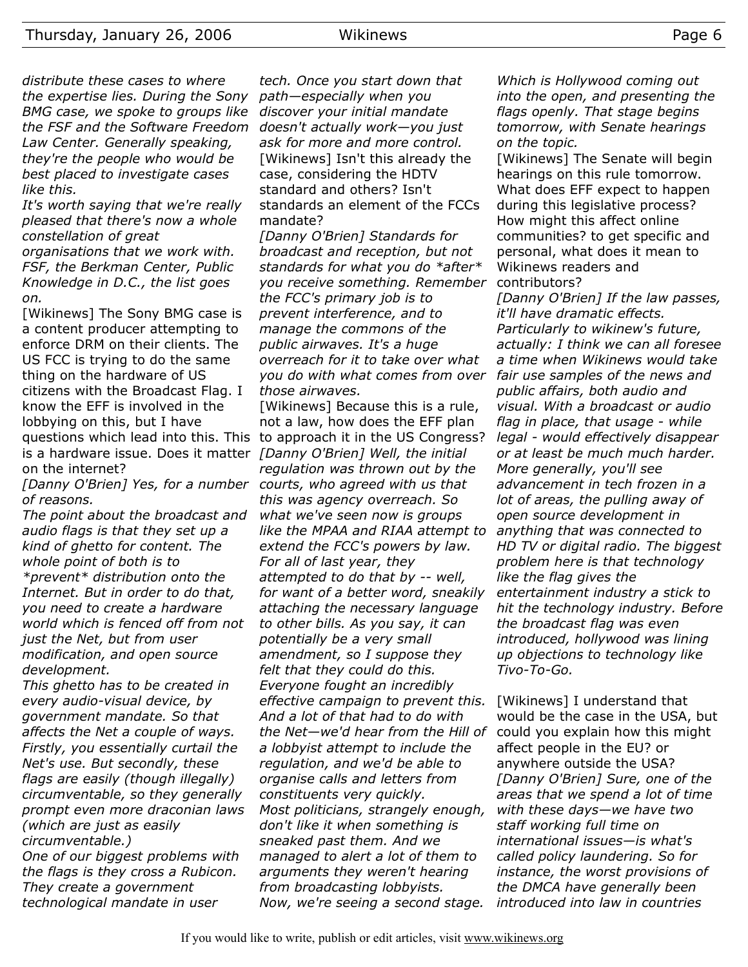*distribute these cases to where the expertise lies. During the Sony BMG case, we spoke to groups like the FSF and the Software Freedom Law Center. Generally speaking, they're the people who would be best placed to investigate cases like this.*

*It's worth saying that we're really pleased that there's now a whole constellation of great*

*organisations that we work with. FSF, the Berkman Center, Public Knowledge in D.C., the list goes on.*

[Wikinews] The Sony BMG case is a content producer attempting to enforce DRM on their clients. The US FCC is trying to do the same thing on the hardware of US citizens with the Broadcast Flag. I know the EFF is involved in the lobbying on this, but I have questions which lead into this. This to approach it in the US Congress? is a hardware issue. Does it matter *[Danny O'Brien] Well, the initial* on the internet?

*[Danny O'Brien] Yes, for a number courts, who agreed with us that of reasons.*

*The point about the broadcast and audio flags is that they set up a kind of ghetto for content. The whole point of both is to \*prevent\* distribution onto the Internet. But in order to do that, you need to create a hardware world which is fenced off from not just the Net, but from user modification, and open source development.*

*This ghetto has to be created in every audio-visual device, by government mandate. So that affects the Net a couple of ways. Firstly, you essentially curtail the Net's use. But secondly, these flags are easily (though illegally) circumventable, so they generally prompt even more draconian laws (which are just as easily circumventable.)*

*One of our biggest problems with the flags is they cross a Rubicon. They create a government technological mandate in user*

*tech. Once you start down that path—especially when you discover your initial mandate doesn't actually work—you just ask for more and more control.* [Wikinews] Isn't this already the case, considering the HDTV standard and others? Isn't standards an element of the FCCs mandate?

*[Danny O'Brien] Standards for broadcast and reception, but not standards for what you do \*after\* you receive something. Remember the FCC's primary job is to prevent interference, and to manage the commons of the public airwaves. It's a huge overreach for it to take over what you do with what comes from over those airwaves.*

[Wikinews] Because this is a rule, not a law, how does the EFF plan *regulation was thrown out by the this was agency overreach. So what we've seen now is groups like the MPAA and RIAA attempt to extend the FCC's powers by law. For all of last year, they attempted to do that by -- well, for want of a better word, sneakily attaching the necessary language to other bills. As you say, it can potentially be a very small amendment, so I suppose they felt that they could do this. Everyone fought an incredibly effective campaign to prevent this. And a lot of that had to do with the Net—we'd hear from the Hill of a lobbyist attempt to include the regulation, and we'd be able to organise calls and letters from constituents very quickly. Most politicians, strangely enough, don't like it when something is sneaked past them. And we managed to alert a lot of them to arguments they weren't hearing from broadcasting lobbyists. Now, we're seeing a second stage.*

*Which is Hollywood coming out into the open, and presenting the flags openly. That stage begins tomorrow, with Senate hearings on the topic.*

[Wikinews] The Senate will begin hearings on this rule tomorrow. What does EFF expect to happen during this legislative process? How might this affect online communities? to get specific and personal, what does it mean to Wikinews readers and contributors?

*[Danny O'Brien] If the law passes, it'll have dramatic effects. Particularly to wikinew's future, actually: I think we can all foresee a time when Wikinews would take fair use samples of the news and public affairs, both audio and visual. With a broadcast or audio flag in place, that usage - while legal - would effectively disappear or at least be much much harder. More generally, you'll see advancement in tech frozen in a lot of areas, the pulling away of open source development in anything that was connected to HD TV or digital radio. The biggest problem here is that technology like the flag gives the entertainment industry a stick to hit the technology industry. Before the broadcast flag was even introduced, hollywood was lining up objections to technology like Tivo-To-Go.*

[Wikinews] I understand that would be the case in the USA, but could you explain how this might affect people in the EU? or anywhere outside the USA? *[Danny O'Brien] Sure, one of the areas that we spend a lot of time with these days—we have two staff working full time on international issues—is what's called policy laundering. So for instance, the worst provisions of the DMCA have generally been introduced into law in countries*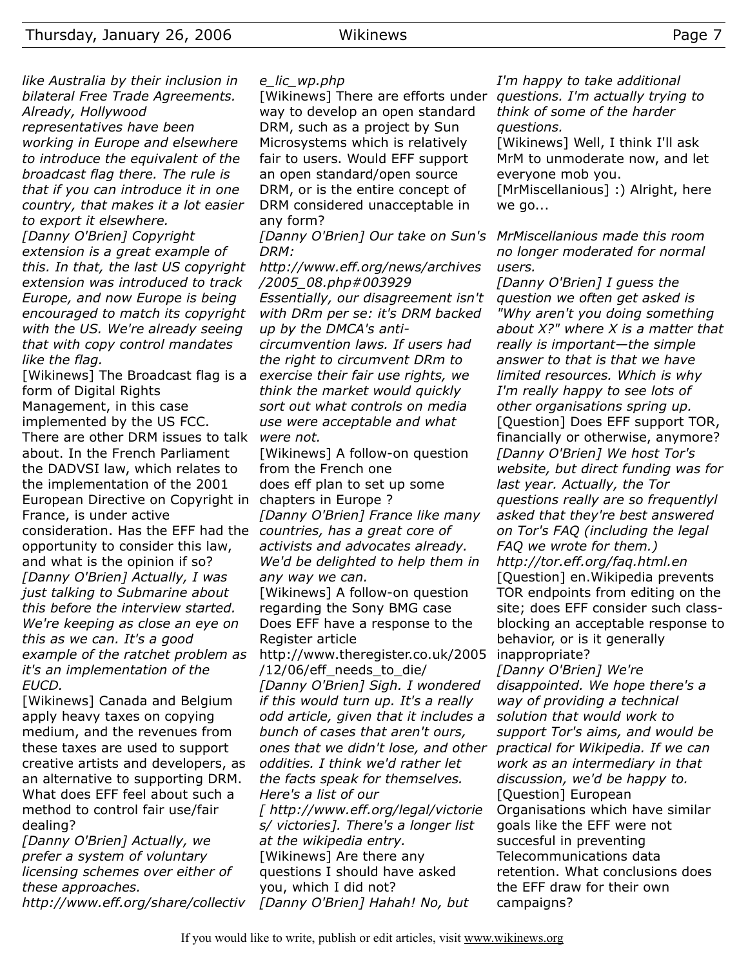*like Australia by their inclusion in bilateral Free Trade Agreements. Already, Hollywood representatives have been working in Europe and elsewhere to introduce the equivalent of the broadcast flag there. The rule is that if you can introduce it in one country, that makes it a lot easier to export it elsewhere.*

*[Danny O'Brien] Copyright extension is a great example of this. In that, the last US copyright extension was introduced to track Europe, and now Europe is being encouraged to match its copyright with the US. We're already seeing that with copy control mandates like the flag.*

[Wikinews] The Broadcast flag is a form of Digital Rights Management, in this case implemented by the US FCC. There are other DRM issues to talk *were not.* about. In the French Parliament the DADVSI law, which relates to the implementation of the 2001 European Directive on Copyright in chapters in Europe ? France, is under active consideration. Has the EFF had the *countries, has a great core of* opportunity to consider this law, and what is the opinion if so? *[Danny O'Brien] Actually, I was just talking to Submarine about this before the interview started. We're keeping as close an eye on this as we can. It's a good example of the ratchet problem as it's an implementation of the EUCD.*

[Wikinews] Canada and Belgium apply heavy taxes on copying medium, and the revenues from these taxes are used to support creative artists and developers, as an alternative to supporting DRM. What does EFF feel about such a method to control fair use/fair dealing?

*[Danny O'Brien] Actually, we prefer a system of voluntary licensing schemes over either of these approaches. http://www.eff.org/share/collectiv*

#### *e\_lic\_wp.php*

[Wikinews] There are efforts under *questions. I'm actually trying to* way to develop an open standard DRM, such as a project by Sun Microsystems which is relatively fair to users. Would EFF support an open standard/open source DRM, or is the entire concept of DRM considered unacceptable in any form?

*[Danny O'Brien] Our take on Sun's MrMiscellanious made this room DRM:*

*http://www.eff.org/news/archives /2005\_08.php#003929 Essentially, our disagreement isn't with DRm per se: it's DRM backed up by the DMCA's anticircumvention laws. If users had*

*the right to circumvent DRm to exercise their fair use rights, we think the market would quickly sort out what controls on media use were acceptable and what*

[Wikinews] A follow-on question from the French one does eff plan to set up some *[Danny O'Brien] France like many activists and advocates already. We'd be delighted to help them in*

*any way we can.* [Wikinews] A follow-on question regarding the Sony BMG case Does EFF have a response to the Register article

http://www.theregister.co.uk/2005 /12/06/eff\_needs\_to\_die/ *[Danny O'Brien] Sigh. I wondered if this would turn up. It's a really odd article, given that it includes a bunch of cases that aren't ours, ones that we didn't lose, and other oddities. I think we'd rather let the facts speak for themselves. Here's a list of our [ http://www.eff.org/legal/victorie s/ victories]. There's a longer list at the wikipedia entry.* [Wikinews] Are there any questions I should have asked you, which I did not? *[Danny O'Brien] Hahah! No, but*

*I'm happy to take additional think of some of the harder questions.*

[Wikinews] Well, I think I'll ask MrM to unmoderate now, and let everyone mob you.

[MrMiscellanious] :) Alright, here we go...

*no longer moderated for normal users.*

*[Danny O'Brien] I guess the question we often get asked is "Why aren't you doing something about X?" where X is a matter that really is important—the simple answer to that is that we have limited resources. Which is why I'm really happy to see lots of other organisations spring up.* [Question] Does EFF support TOR, financially or otherwise, anymore? *[Danny O'Brien] We host Tor's website, but direct funding was for last year. Actually, the Tor questions really are so frequentlyl asked that they're best answered on Tor's FAQ (including the legal FAQ we wrote for them.) http://tor.eff.org/faq.html.en* [Question] en.Wikipedia prevents TOR endpoints from editing on the site; does EFF consider such classblocking an acceptable response to behavior, or is it generally inappropriate? *[Danny O'Brien] We're disappointed. We hope there's a way of providing a technical solution that would work to support Tor's aims, and would be practical for Wikipedia. If we can*

*discussion, we'd be happy to.* [Question] European Organisations which have similar goals like the EFF were not succesful in preventing Telecommunications data retention. What conclusions does the EFF draw for their own campaigns?

*work as an intermediary in that*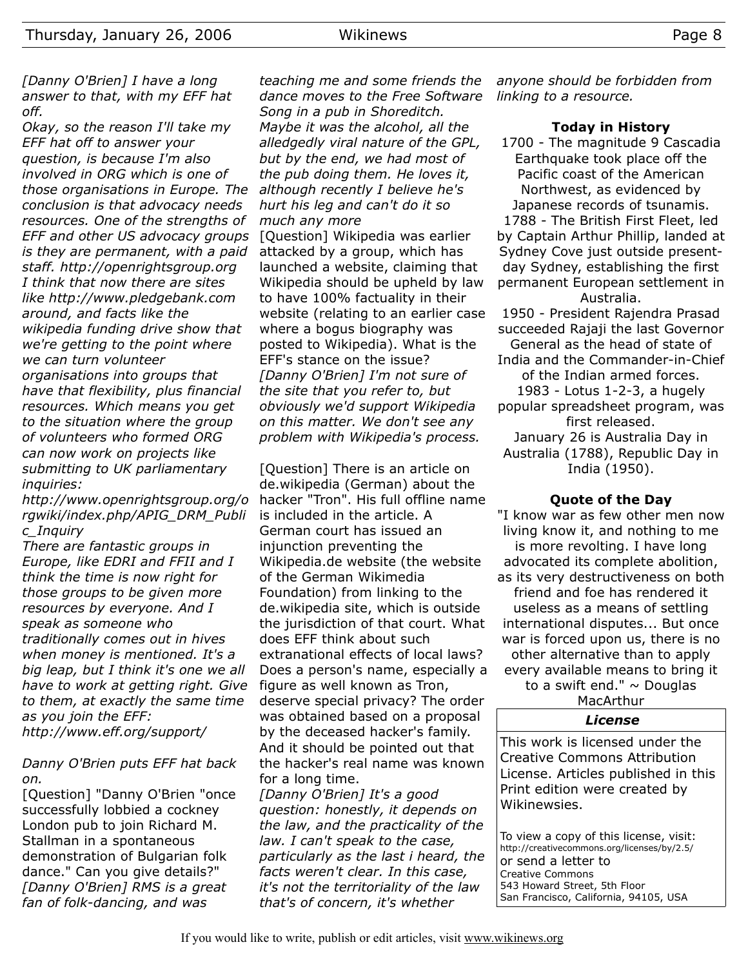*[Danny O'Brien] I have a long answer to that, with my EFF hat off.*

*Okay, so the reason I'll take my EFF hat off to answer your question, is because I'm also involved in ORG which is one of those organisations in Europe. The conclusion is that advocacy needs resources. One of the strengths of EFF and other US advocacy groups is they are permanent, with a paid staff. http://openrightsgroup.org I think that now there are sites like http://www.pledgebank.com around, and facts like the wikipedia funding drive show that we're getting to the point where we can turn volunteer organisations into groups that have that flexibility, plus financial resources. Which means you get to the situation where the group of volunteers who formed ORG can now work on projects like submitting to UK parliamentary inquiries:*

*http://www.openrightsgroup.org/o rgwiki/index.php/APIG\_DRM\_Publi c\_Inquiry*

*There are fantastic groups in Europe, like EDRI and FFII and I think the time is now right for those groups to be given more resources by everyone. And I speak as someone who traditionally comes out in hives when money is mentioned. It's a big leap, but I think it's one we all have to work at getting right. Give to them, at exactly the same time as you join the EFF: http://www.eff.org/support/*

*Danny O'Brien puts EFF hat back*

*on.* [Question] "Danny O'Brien "once successfully lobbied a cockney London pub to join Richard M. Stallman in a spontaneous demonstration of Bulgarian folk dance." Can you give details?" *[Danny O'Brien] RMS is a great fan of folk-dancing, and was*

*teaching me and some friends the dance moves to the Free Software Song in a pub in Shoreditch. Maybe it was the alcohol, all the alledgedly viral nature of the GPL, but by the end, we had most of the pub doing them. He loves it, although recently I believe he's hurt his leg and can't do it so much any more*

[Question] Wikipedia was earlier attacked by a group, which has launched a website, claiming that Wikipedia should be upheld by law to have 100% factuality in their website (relating to an earlier case where a bogus biography was posted to Wikipedia). What is the EFF's stance on the issue? *[Danny O'Brien] I'm not sure of the site that you refer to, but obviously we'd support Wikipedia on this matter. We don't see any problem with Wikipedia's process.*

[Question] There is an article on de.wikipedia (German) about the hacker "Tron". His full offline name is included in the article. A German court has issued an injunction preventing the Wikipedia.de website (the website of the German Wikimedia Foundation) from linking to the de.wikipedia site, which is outside the jurisdiction of that court. What does EFF think about such extranational effects of local laws? Does a person's name, especially a figure as well known as Tron, deserve special privacy? The order was obtained based on a proposal by the deceased hacker's family. And it should be pointed out that the hacker's real name was known for a long time.

*[Danny O'Brien] It's a good question: honestly, it depends on the law, and the practicality of the law. I can't speak to the case, particularly as the last i heard, the facts weren't clear. In this case, it's not the territoriality of the law that's of concern, it's whether*

*anyone should be forbidden from linking to a resource.*

#### **Today in History**

1700 - The magnitude 9 Cascadia Earthquake took place off the Pacific coast of the American Northwest, as evidenced by Japanese records of tsunamis. 1788 - The British First Fleet, led by Captain Arthur Phillip, landed at

Sydney Cove just outside presentday Sydney, establishing the first permanent European settlement in Australia. 1950 - President Rajendra Prasad succeeded Rajaji the last Governor

General as the head of state of India and the Commander-in-Chief of the Indian armed forces. 1983 - Lotus 1-2-3, a hugely popular spreadsheet program, was first released.

January 26 is Australia Day in Australia (1788), Republic Day in India (1950).

#### **Quote of the Day**

"I know war as few other men now living know it, and nothing to me is more revolting. I have long advocated its complete abolition, as its very destructiveness on both friend and foe has rendered it useless as a means of settling international disputes... But once war is forced upon us, there is no other alternative than to apply every available means to bring it to a swift end."  $\sim$  Douglas

#### MacArthur *License*

This work is licensed under the Creative Commons Attribution License. Articles published in this Print edition were created by Wikinewsies.

To view a copy of this license, visit: http://creativecommons.org/licenses/by/2.5/ or send a letter to Creative Commons 543 Howard Street, 5th Floor San Francisco, California, 94105, USA